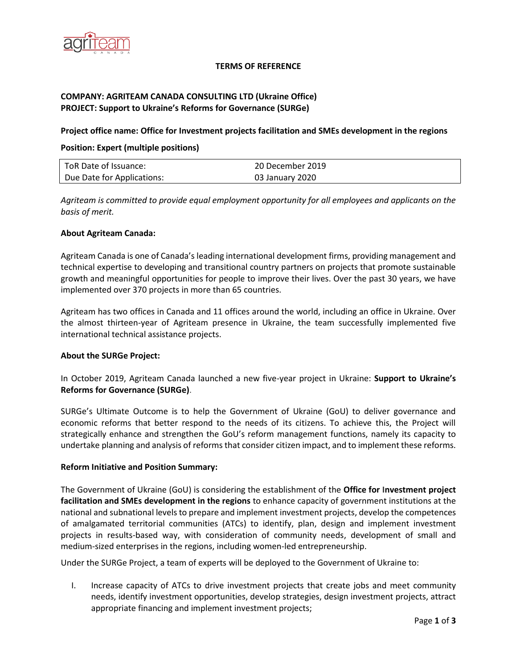

#### **TERMS OF REFERENCE**

# **COMPANY: AGRITEAM CANADA CONSULTING LTD (Ukraine Office) PROJECT: Support to Ukraine's Reforms for Governance (SURGe)**

### **Project office name: Office for Investment projects facilitation and SMEs development in the regions**

## **Position: Expert (multiple positions)**

| ToR Date of Issuance:      | 20 December 2019 |
|----------------------------|------------------|
| Due Date for Applications: | 03 January 2020  |

*Agriteam is committed to provide equal employment opportunity for all employees and applicants on the basis of merit.*

#### **About Agriteam Canada:**

Agriteam Canada is one of Canada's leading international development firms, providing management and technical expertise to developing and transitional country partners on projects that promote sustainable growth and meaningful opportunities for people to improve their lives. Over the past 30 years, we have implemented over 370 projects in more than 65 countries.

Agriteam has two offices in Canada and 11 offices around the world, including an office in Ukraine. Over the almost thirteen-year of Agriteam presence in Ukraine, the team successfully implemented five international technical assistance projects.

#### **About the SURGe Project:**

In October 2019, Agriteam Canada launched a new five-year project in Ukraine: **Support to Ukraine's Reforms for Governance (SURGe)**.

SURGe's Ultimate Outcome is to help the Government of Ukraine (GoU) to deliver governance and economic reforms that better respond to the needs of its citizens. To achieve this, the Project will strategically enhance and strengthen the GoU's reform management functions, namely its capacity to undertake planning and analysis of reforms that consider citizen impact, and to implement these reforms.

#### **Reform Initiative and Position Summary:**

The Government of Ukraine (GoU) is considering the establishment of the **Office for Investment project facilitation and SMEs development in the regions** to enhance capacity of government institutions at the national and subnational levels to prepare and implement investment projects, develop the competences of amalgamated territorial communities (ATCs) to identify, plan, design and implement investment projects in results-based way, with consideration of community needs, development of small and medium-sized enterprises in the regions, including women-led entrepreneurship.

Under the SURGe Project, a team of experts will be deployed to the Government of Ukraine to:

I. Increase capacity of ATCs to drive investment projects that create jobs and meet community needs, identify investment opportunities, develop strategies, design investment projects, attract appropriate financing and implement investment projects;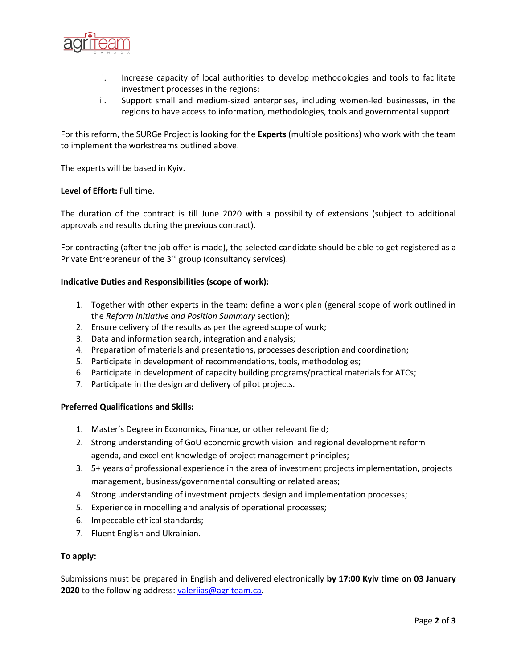

- i. Increase capacity of local authorities to develop methodologies and tools to facilitate investment processes in the regions;
- ii. Support small and medium-sized enterprises, including women-led businesses, in the regions to have access to information, methodologies, tools and governmental support.

For this reform, the SURGe Project is looking for the **Experts** (multiple positions) who work with the team to implement the workstreams outlined above.

The experts will be based in Kyiv.

#### **Level of Effort:** Full time.

The duration of the contract is till June 2020 with a possibility of extensions (subject to additional approvals and results during the previous contract).

For contracting (after the job offer is made), the selected candidate should be able to get registered as a Private Entrepreneur of the 3<sup>rd</sup> group (consultancy services).

#### **Indicative Duties and Responsibilities (scope of work):**

- 1. Together with other experts in the team: define a work plan (general scope of work outlined in the *Reform Initiative and Position Summary* section);
- 2. Ensure delivery of the results as per the agreed scope of work;
- 3. Data and information search, integration and analysis;
- 4. Preparation of materials and presentations, processes description and coordination;
- 5. Participate in development of recommendations, tools, methodologies;
- 6. Participate in development of capacity building programs/practical materials for ATCs;
- 7. Participate in the design and delivery of pilot projects.

#### **Preferred Qualifications and Skills:**

- 1. Master's Degree in Economics, Finance, or other relevant field;
- 2. Strong understanding of GoU economic growth vision and regional development reform agenda, and excellent knowledge of project management principles;
- 3. 5+ years of professional experience in the area of investment projects implementation, projects management, business/governmental consulting or related areas;
- 4. Strong understanding of investment projects design and implementation processes;
- 5. Experience in modelling and analysis of operational processes;
- 6. Impeccable ethical standards;
- 7. Fluent English and Ukrainian.

#### **To apply:**

Submissions must be prepared in English and delivered electronically **by 17:00 Kyiv time on 03 January 2020** to the following address: [valeriias@agriteam.ca.](mailto:valeriias@agriteam.ca)